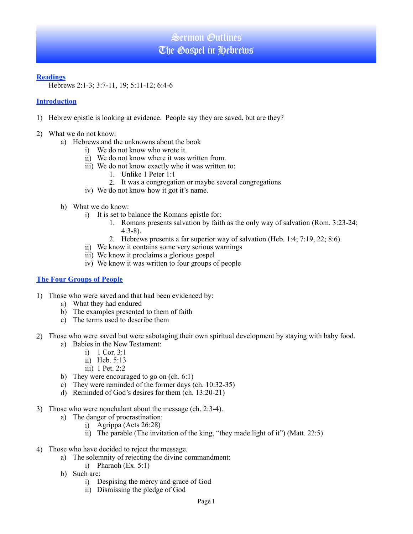### **Readings**

Hebrews 2:1-3; 3:7-11, 19; 5:11-12; 6:4-6

### **Introduction**

- 1) Hebrew epistle is looking at evidence. People say they are saved, but are they?
- 2) What we do not know:
	- a) Hebrews and the unknowns about the book
		- i) We do not know who wrote it.
		- ii) We do not know where it was written from.
		- iii) We do not know exactly who it was written to:
			- 1. Unlike 1 Peter 1:1
			- 2. It was a congregation or maybe several congregations
		- iv) We do not know how it got it's name.
	- b) What we do know:
		- i) It is set to balance the Romans epistle for:
			- 1. Romans presents salvation by faith as the only way of salvation (Rom. 3:23-24; 4:3-8).
			- 2. Hebrews presents a far superior way of salvation (Heb. 1:4; 7:19, 22; 8:6).
		- ii) We know it contains some very serious warnings
		- iii) We know it proclaims a glorious gospel
		- iv) We know it was written to four groups of people

### **The Four Groups of People**

- 1) Those who were saved and that had been evidenced by:
	- a) What they had endured
	- b) The examples presented to them of faith
	- c) The terms used to describe them
- 2) Those who were saved but were sabotaging their own spiritual development by staying with baby food.
	- a) Babies in the New Testament:
		- i) 1 Cor. 3:1
		- ii) Heb. 5:13
		- iii) 1 Pet. 2:2
	- b) They were encouraged to go on (ch. 6:1)
	- c) They were reminded of the former days (ch. 10:32-35)
	- d) Reminded of God's desires for them (ch. 13:20-21)
- 3) Those who were nonchalant about the message (ch. 2:3-4).
	- a) The danger of procrastination:
		- i) Agrippa (Acts 26:28)
		- ii) The parable (The invitation of the king, "they made light of it") (Matt. 22:5)
- 4) Those who have decided to reject the message.
	- a) The solemnity of rejecting the divine commandment:
		- i) Pharaoh  $(Ex. 5:1)$
	- b) Such are:
		- i) Despising the mercy and grace of God
		- ii) Dismissing the pledge of God